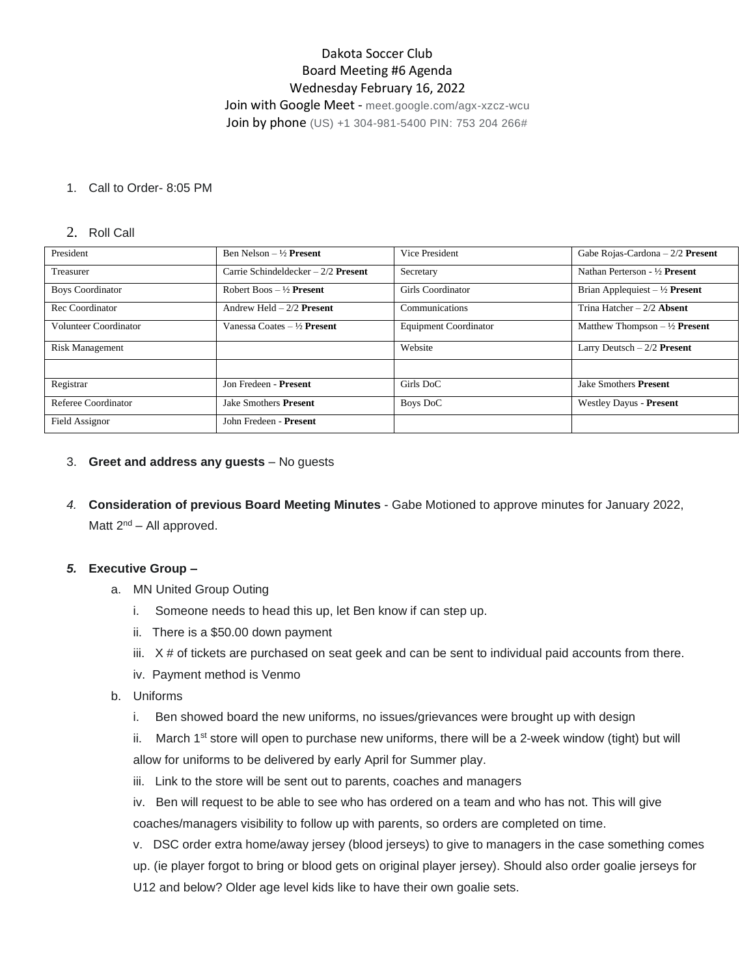# Dakota Soccer Club Board Meeting #6 Agenda Wednesday February 16, 2022

Join with Google Meet - meet.google.com/agx-xzcz-wcu Join by phone (US) +1 304-981-5400 PIN: 753 204 266#

#### 1. Call to Order- 8:05 PM

#### 2. Roll Call

| President               | Ben Nelson $-\frac{1}{2}$ Present    | Vice President        | Gabe Rojas-Cardona $-2/2$ Present        |
|-------------------------|--------------------------------------|-----------------------|------------------------------------------|
| Treasurer               | Carrie Schindeldecker $-2/2$ Present | Secretary             | Nathan Perterson - 1/2 Present           |
| <b>Boys Coordinator</b> | Robert Boos $-1/2$ Present           | Girls Coordinator     | Brian Applequiest $-\frac{1}{2}$ Present |
| Rec Coordinator         | Andrew Held $-2/2$ Present           | Communications        | Trina Hatcher $-2/2$ Absent              |
| Volunteer Coordinator   | Vanessa Coates $-$ 1/2 Present       | Equipment Coordinator | Matthew Thompson $-\frac{1}{2}$ Present  |
| <b>Risk Management</b>  |                                      | Website               | Larry Deutsch $-2/2$ Present             |
|                         |                                      |                       |                                          |
| Registrar               | Jon Fredeen - Present                | Girls DoC             | <b>Jake Smothers Present</b>             |
| Referee Coordinator     | <b>Jake Smothers Present</b>         | Boys DoC              | Westley Dayus - Present                  |
| Field Assignor          | John Fredeen - Present               |                       |                                          |

#### 3. **Greet and address any guests** – No guests

*4.* **Consideration of previous Board Meeting Minutes** - Gabe Motioned to approve minutes for January 2022, Matt 2<sup>nd</sup> – All approved.

#### *5.* **Executive Group –**

- a. MN United Group Outing
	- i. Someone needs to head this up, let Ben know if can step up.
	- ii. There is a \$50.00 down payment
	- iii.  $X \#$  of tickets are purchased on seat geek and can be sent to individual paid accounts from there.
	- iv. Payment method is Venmo
- b. Uniforms
	- i. Ben showed board the new uniforms, no issues/grievances were brought up with design
	- ii. March 1<sup>st</sup> store will open to purchase new uniforms, there will be a 2-week window (tight) but will allow for uniforms to be delivered by early April for Summer play.
	- iii. Link to the store will be sent out to parents, coaches and managers

iv. Ben will request to be able to see who has ordered on a team and who has not. This will give coaches/managers visibility to follow up with parents, so orders are completed on time.

v. DSC order extra home/away jersey (blood jerseys) to give to managers in the case something comes up. (ie player forgot to bring or blood gets on original player jersey). Should also order goalie jerseys for U12 and below? Older age level kids like to have their own goalie sets.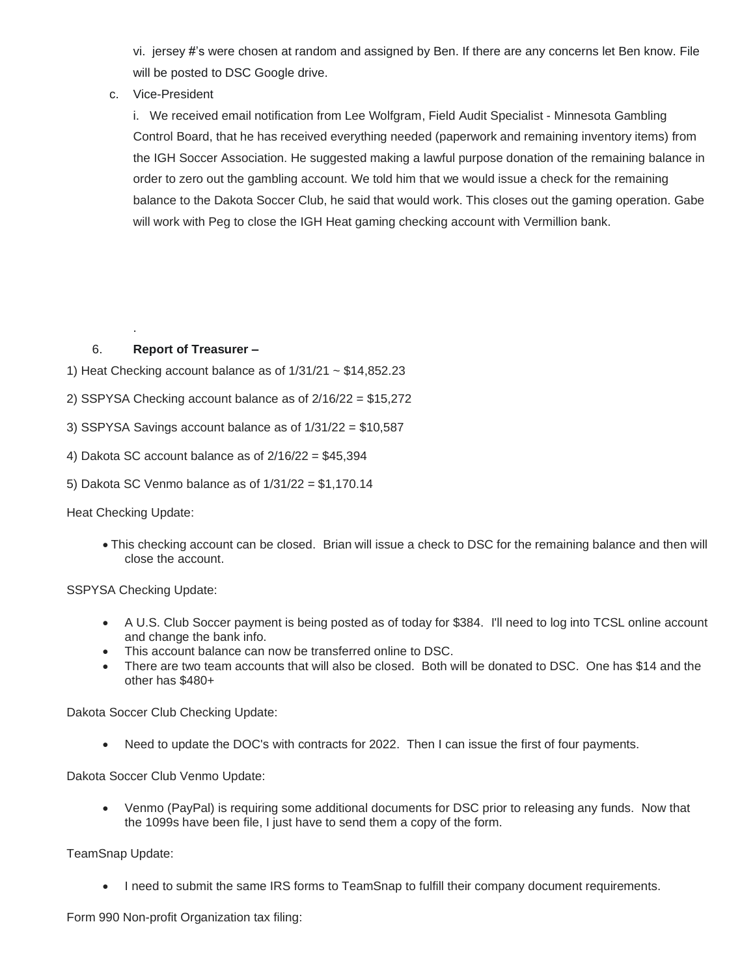vi. jersey #'s were chosen at random and assigned by Ben. If there are any concerns let Ben know. File will be posted to DSC Google drive.

c. Vice-President

i. We received email notification from Lee Wolfgram, Field Audit Specialist - Minnesota Gambling Control Board, that he has received everything needed (paperwork and remaining inventory items) from the IGH Soccer Association. He suggested making a lawful purpose donation of the remaining balance in order to zero out the gambling account. We told him that we would issue a check for the remaining balance to the Dakota Soccer Club, he said that would work. This closes out the gaming operation. Gabe will work with Peg to close the IGH Heat gaming checking account with Vermillion bank.

# 6. **Report of Treasurer –**

- 1) Heat Checking account balance as of  $1/31/21 \sim $14,852.23$
- 2) SSPYSA Checking account balance as of 2/16/22 = \$15,272
- 3) SSPYSA Savings account balance as of 1/31/22 = \$10,587
- 4) Dakota SC account balance as of 2/16/22 = \$45,394
- 5) Dakota SC Venmo balance as of 1/31/22 = \$1,170.14

Heat Checking Update:

.

• This checking account can be closed. Brian will issue a check to DSC for the remaining balance and then will close the account.

SSPYSA Checking Update:

- A U.S. Club Soccer payment is being posted as of today for \$384. I'll need to log into TCSL online account and change the bank info.
- This account balance can now be transferred online to DSC.
- There are two team accounts that will also be closed. Both will be donated to DSC. One has \$14 and the other has \$480+

Dakota Soccer Club Checking Update:

• Need to update the DOC's with contracts for 2022. Then I can issue the first of four payments.

Dakota Soccer Club Venmo Update:

• Venmo (PayPal) is requiring some additional documents for DSC prior to releasing any funds. Now that the 1099s have been file, I just have to send them a copy of the form.

TeamSnap Update:

• I need to submit the same IRS forms to TeamSnap to fulfill their company document requirements.

Form 990 Non-profit Organization tax filing: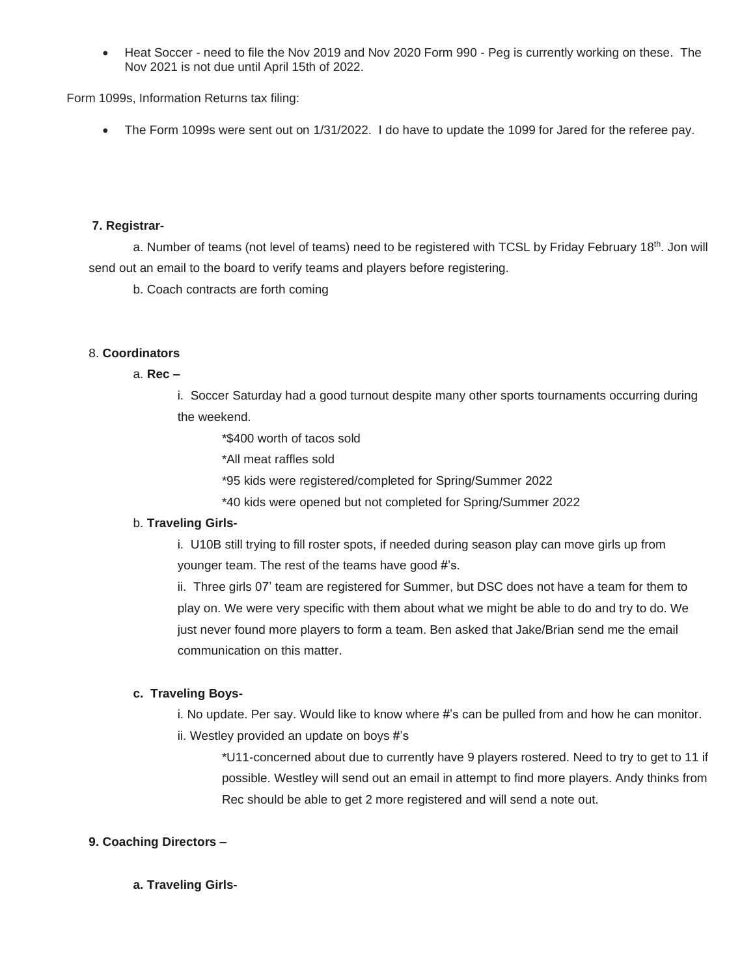• Heat Soccer - need to file the Nov 2019 and Nov 2020 Form 990 - Peg is currently working on these. The Nov 2021 is not due until April 15th of 2022.

Form 1099s, Information Returns tax filing:

• The Form 1099s were sent out on 1/31/2022. I do have to update the 1099 for Jared for the referee pay.

#### **7. Registrar-**

a. Number of teams (not level of teams) need to be registered with TCSL by Friday February 18<sup>th</sup>. Jon will send out an email to the board to verify teams and players before registering.

b. Coach contracts are forth coming

# 8. **Coordinators**

#### a. **Rec –**

i. Soccer Saturday had a good turnout despite many other sports tournaments occurring during the weekend.

\*\$400 worth of tacos sold

\*All meat raffles sold

\*95 kids were registered/completed for Spring/Summer 2022

\*40 kids were opened but not completed for Spring/Summer 2022

# b. **Traveling Girls-**

i. U10B still trying to fill roster spots, if needed during season play can move girls up from younger team. The rest of the teams have good #'s.

ii. Three girls 07' team are registered for Summer, but DSC does not have a team for them to play on. We were very specific with them about what we might be able to do and try to do. We just never found more players to form a team. Ben asked that Jake/Brian send me the email communication on this matter.

# **c. Traveling Boys-**

i. No update. Per say. Would like to know where #'s can be pulled from and how he can monitor. ii. Westley provided an update on boys #'s

\*U11-concerned about due to currently have 9 players rostered. Need to try to get to 11 if possible. Westley will send out an email in attempt to find more players. Andy thinks from Rec should be able to get 2 more registered and will send a note out.

# **9. Coaching Directors –**

# **a. Traveling Girls-**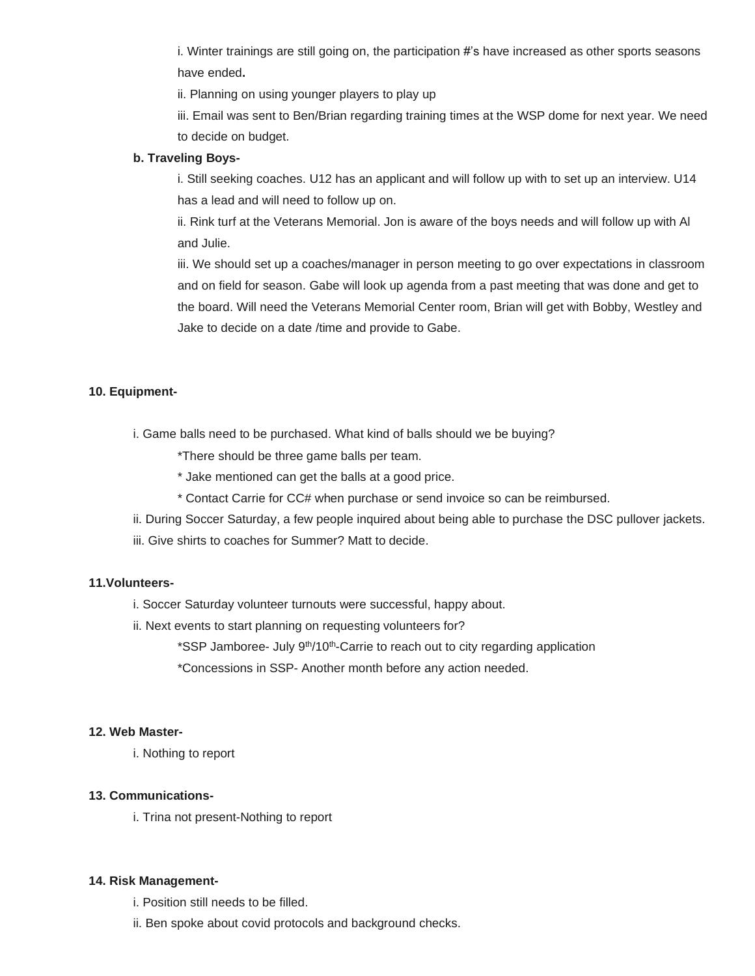i. Winter trainings are still going on, the participation #'s have increased as other sports seasons have ended**.**

ii. Planning on using younger players to play up

iii. Email was sent to Ben/Brian regarding training times at the WSP dome for next year. We need to decide on budget.

#### **b. Traveling Boys-**

i. Still seeking coaches. U12 has an applicant and will follow up with to set up an interview. U14 has a lead and will need to follow up on.

ii. Rink turf at the Veterans Memorial. Jon is aware of the boys needs and will follow up with Al and Julie.

iii. We should set up a coaches/manager in person meeting to go over expectations in classroom and on field for season. Gabe will look up agenda from a past meeting that was done and get to the board. Will need the Veterans Memorial Center room, Brian will get with Bobby, Westley and Jake to decide on a date /time and provide to Gabe.

# **10. Equipment-**

i. Game balls need to be purchased. What kind of balls should we be buying?

\*There should be three game balls per team.

- \* Jake mentioned can get the balls at a good price.
- \* Contact Carrie for CC# when purchase or send invoice so can be reimbursed.
- ii. During Soccer Saturday, a few people inquired about being able to purchase the DSC pullover jackets.
- iii. Give shirts to coaches for Summer? Matt to decide.

# **11.Volunteers-**

- i. Soccer Saturday volunteer turnouts were successful, happy about.
- ii. Next events to start planning on requesting volunteers for?
	- \*SSP Jamboree- July 9<sup>th</sup>/10<sup>th</sup>-Carrie to reach out to city regarding application

\*Concessions in SSP- Another month before any action needed.

### **12. Web Master-**

i. Nothing to report

# **13. Communications-**

i. Trina not present-Nothing to report

#### **14. Risk Management-**

- i. Position still needs to be filled.
- ii. Ben spoke about covid protocols and background checks.